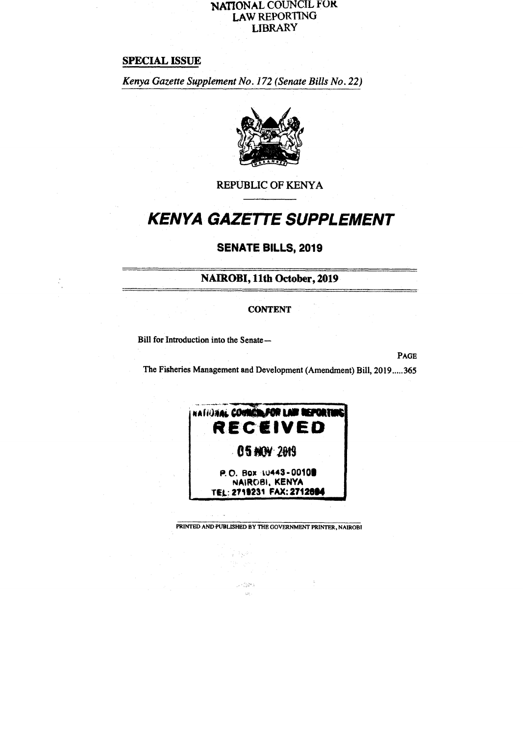#### **NATIONAL COUNCIL FOR LAW REPORTING LIBRARY**

## **SPECIAL ISSUE**

*Kenya Gazette Supplement No. 172 (Senate Bills No. 22)* 



**REPUBLIC OF KENYA** 

# **KENYA GAZETTE SUPPLEMENT**

# **SENATE BILLS, 2019**

**NAIROBI, 11th October, 2019** 

#### **CONTENT**

**Bill for Introduction into the Senate—** 

**PAGE** 

The Fisheries Management and Development (Amendment) Bill, 2019.....365



**PRINTED AND PUBLISHED BY THE GOVERNMENT PRINTER, NAIROBI** 

14 P.W

 $\mathcal{D}^{\ast}(\mathcal{M}^{\ast})$  $\mathcal{L}^{\mathcal{L}}_{\mathcal{L}^{\mathcal{L}}}$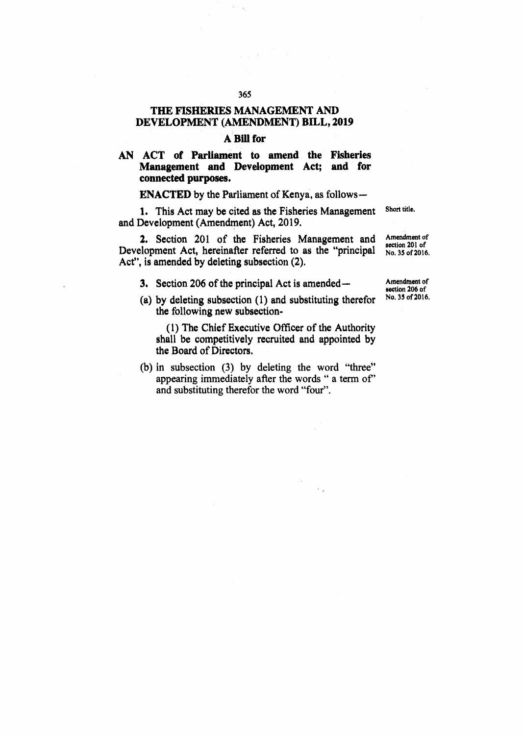# **THE FISHERIES MANAGEMENT AND DEVELOPMENT (AMENDMENT) BILL, 2019**

#### **A** Bill for

## **AN ACT of Parliament to amend the Fisheries Management and Development Act; and for connected purposes.**

**ENACTED by the Parliament of Kenya, as follows** 

**1. This Act may be cited as the Fisheries Management and Development (Amendment) Act, 2019. Short title.** 

**2. Section 201 of the Fisheries Management and Development Act, hereinafter referred to as the "principal Act", is amended by deleting subsection (2).** 

**Amendment of section 201 of No, 35 of 2016.** 

**3. Section 206 of the principal Act is amended—** 

**(a) by deleting subsection (1) and substituting therefor the following new subsection-** 

**(1) The Chief Executive Officer of the Authority shall be competitively recruited and appointed by the Board of Directors.** 

**(b) in** subsection (3) by deleting the word "three" appearing immediately after the words " a term of" and substituting therefor the word "four".

**Amendment of section 206 of No. 35 of 2016.** 

365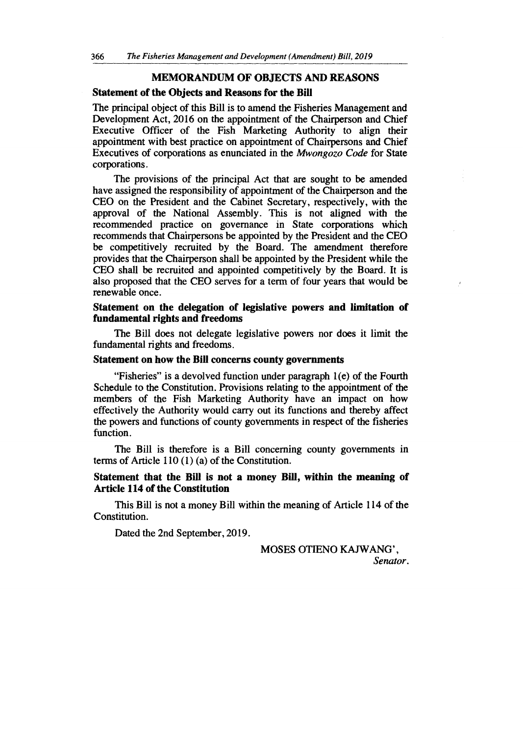#### **MEMORANDUM OF OBJECTS AND REASONS**

#### **Statement of the Objects and Reasons for the Bill**

The principal object of this Bill is to amend the Fisheries Management and Development Act, 2016 on the appointment of the Chairperson and Chief Executive Officer of the Fish Marketing Authority to align their appointment with best practice on appointment of Chairpersons and Chief Executives of corporations as enunciated in the *Mwongozo Code* for State corporations.

The provisions of the principal Act that are sought to be amended have assigned the responsibility of appointment of the Chairperson and the CEO on the President and the Cabinet Secretary, respectively, with the approval of the National Assembly. This is not aligned with the recommended practice on governance in State corporations which recommends that Chairpersons be appointed by the President and the CEO be competitively recruited by the Board. The amendment therefore provides that the Chairperson shall be appointed by the President while the CEO shall be recruited and appointed competitively by the Board. It is also proposed that the CEO serves for a term of four years that would be renewable once.

#### **Statement on the delegation of legislative powers and limitation of fundamental rights and freedoms**

The Bill does not delegate legislative powers nor does it limit the fundamental rights and freedoms.

#### **Statement on how the Bill concerns county governments**

"Fisheries" is a devolved function under paragraph 1(e) of the Fourth Schedule to the Constitution. Provisions relating to the appointment of the members of the Fish Marketing Authority have an impact on how effectively the Authority would carry out its functions and thereby affect the powers and functions of county governments in respect of the fisheries function.

The Bill is therefore is a Bill concerning county governments in terms of Article 110 (1) (a) of the Constitution.

#### **Statement that the Bill is not a money Bill, within the meaning of Article 114 of the Constitution**

This Bill is not a money Bill within the meaning of Article 114 of the Constitution.

Dated the 2nd September, 2019.

MOSES OTIENO KAJWANG', *Senator.*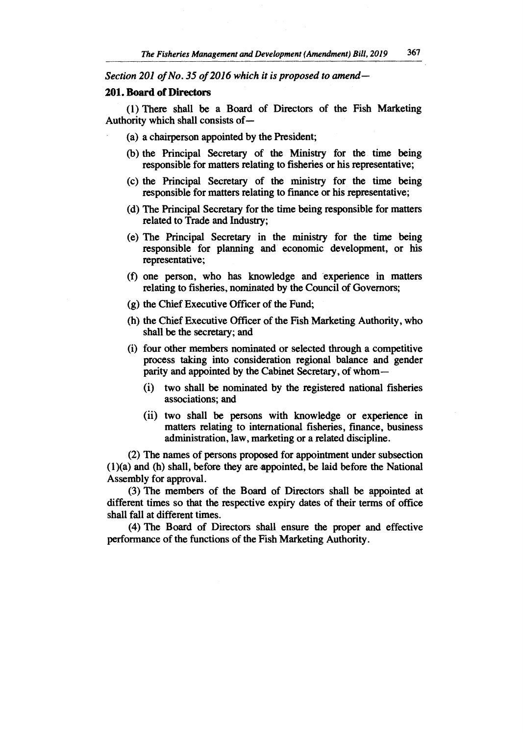*Section 201 of No. 35 of 2016 which it is proposed to amend*—

#### **201. Board of Directors**

**(1) There shall be a Board of Directors of the Fish Marketing Authority which shall consists of** 

- **(a) a chairperson appointed by the President;**
- **(b) the Principal Secretary of the Ministry for the time being responsible for matters relating to fisheries or his representative;**
- **(c) the Principal Secretary of the ministry for the time being responsible for matters relating to finance or his representative;**
- **(d) The Principal Secretary for the time being responsible for matters related to Trade and Industry;**
- **(e) The Principal Secretary in the ministry for the time being responsible for planning and economic development, or his representative;**
- **(f) one person, who has knowledge and experience in matters relating to fisheries, nominated by the Council of Governors;**
- **(g) the Chief Executive Officer of the Fund;**
- **(h) the Chief Executive Officer of the Fish Marketing Authority, who shall be the secretary; and**
- **(i) four other members nominated or selected through a competitive process taking into consideration regional balance and gender parity and appointed by the Cabinet Secretary, of whom —** 
	- **(i) two shall be nominated by the registered national fisheries associations; and**
	- **(ii) two shall be persons with knowledge or experience in matters relating to international fisheries, finance, business administration, law, marketing or a related discipline.**

**(2) The names of persons proposed for appointment under subsection (1)(a) and (h) shall, before they are appointed, be laid before the National Assembly for approval.** 

**(3) The members of the Board of Directors shall be appointed at different times so that the respective expiry dates of their terms of office shall fall at different times.** 

**(4) The Board of Directors shall ensure the proper and effective performance of the functions of the Fish Marketing Authority.**